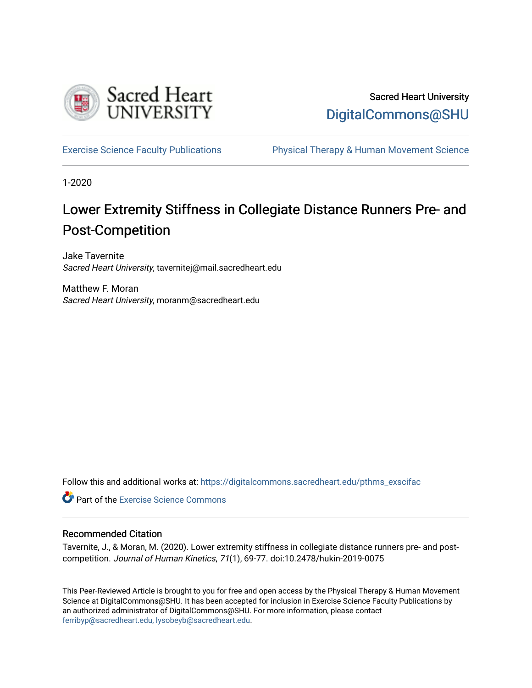

# Sacred Heart University [DigitalCommons@SHU](https://digitalcommons.sacredheart.edu/)

[Exercise Science Faculty Publications](https://digitalcommons.sacredheart.edu/pthms_exscifac) [Physical Therapy & Human Movement Science](https://digitalcommons.sacredheart.edu/pthms) 

1-2020

# Lower Extremity Stiffness in Collegiate Distance Runners Pre- and Post-Competition

Jake Tavernite Sacred Heart University, tavernitej@mail.sacredheart.edu

Matthew F. Moran Sacred Heart University, moranm@sacredheart.edu

Follow this and additional works at: [https://digitalcommons.sacredheart.edu/pthms\\_exscifac](https://digitalcommons.sacredheart.edu/pthms_exscifac?utm_source=digitalcommons.sacredheart.edu%2Fpthms_exscifac%2F44&utm_medium=PDF&utm_campaign=PDFCoverPages)

**Part of the [Exercise Science Commons](http://network.bepress.com/hgg/discipline/1091?utm_source=digitalcommons.sacredheart.edu%2Fpthms_exscifac%2F44&utm_medium=PDF&utm_campaign=PDFCoverPages)** 

### Recommended Citation

Tavernite, J., & Moran, M. (2020). Lower extremity stiffness in collegiate distance runners pre- and postcompetition. Journal of Human Kinetics, 71(1), 69-77. doi:10.2478/hukin-2019-0075

This Peer-Reviewed Article is brought to you for free and open access by the Physical Therapy & Human Movement Science at DigitalCommons@SHU. It has been accepted for inclusion in Exercise Science Faculty Publications by an authorized administrator of DigitalCommons@SHU. For more information, please contact [ferribyp@sacredheart.edu, lysobeyb@sacredheart.edu.](mailto:ferribyp@sacredheart.edu,%20lysobeyb@sacredheart.edu)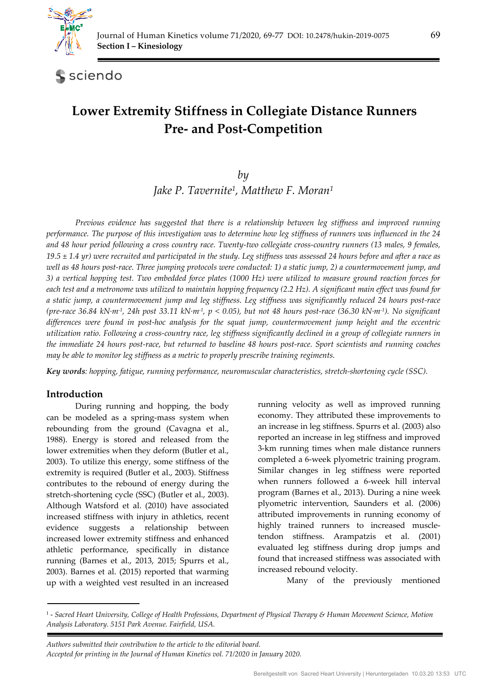

sciendo

# **Lower Extremity Stiffness in Collegiate Distance Runners Pre- and Post-Competition**

# *by Jake P. Tavernite1, Matthew F. Moran1*

*Previous evidence has suggested that there is a relationship between leg stiffness and improved running performance. The purpose of this investigation was to determine how leg stiffness of runners was influenced in the 24 and 48 hour period following a cross country race. Twenty-two collegiate cross-country runners (13 males, 9 females, 19.5 ± 1.4 yr) were recruited and participated in the study. Leg stiffness was assessed 24 hours before and after a race as well as 48 hours post-race. Three jumping protocols were conducted: 1) a static jump, 2) a countermovement jump, and 3) a vertical hopping test. Two embedded force plates (1000 Hz) were utilized to measure ground reaction forces for each test and a metronome was utilized to maintain hopping frequency (2.2 Hz). A significant main effect was found for a static jump, a countermovement jump and leg stiffness. Leg stiffness was significantly reduced 24 hours post-race (pre-race 36.84 kN·m-1, 24h post 33.11 kN·m-1, p < 0.05), but not 48 hours post-race (36.30 kN·m-1). No significant differences were found in post-hoc analysis for the squat jump, countermovement jump height and the eccentric utilization ratio. Following a cross-country race, leg stiffness significantly declined in a group of collegiate runners in the immediate 24 hours post-race, but returned to baseline 48 hours post-race. Sport scientists and running coaches may be able to monitor leg stiffness as a metric to properly prescribe training regiments.* 

*Key words: hopping, fatigue, running performance, neuromuscular characteristics, stretch-shortening cycle (SSC).* 

# **Introduction**

During running and hopping, the body can be modeled as a spring-mass system when rebounding from the ground (Cavagna et al., 1988). Energy is stored and released from the lower extremities when they deform (Butler et al., 2003). To utilize this energy, some stiffness of the extremity is required (Butler et al., 2003). Stiffness contributes to the rebound of energy during the stretch-shortening cycle (SSC) (Butler et al., 2003). Although Watsford et al. (2010) have associated increased stiffness with injury in athletics, recent evidence suggests a relationship between increased lower extremity stiffness and enhanced athletic performance, specifically in distance running (Barnes et al., 2013, 2015; Spurrs et al., 2003). Barnes et al. (2015) reported that warming up with a weighted vest resulted in an increased

running velocity as well as improved running economy. They attributed these improvements to an increase in leg stiffness. Spurrs et al. (2003) also reported an increase in leg stiffness and improved 3-km running times when male distance runners completed a 6-week plyometric training program. Similar changes in leg stiffness were reported when runners followed a 6-week hill interval program (Barnes et al., 2013). During a nine week plyometric intervention, Saunders et al. (2006) attributed improvements in running economy of highly trained runners to increased muscletendon stiffness. Arampatzis et al. (2001) evaluated leg stiffness during drop jumps and found that increased stiffness was associated with increased rebound velocity.

Many of the previously mentioned

 *Authors submitted their contribution to the article to the editorial board. Accepted for printing in the Journal of Human Kinetics vol. 71/2020 in January 2020.* 

<sup>1 -</sup> *Sacred Heart University, College of Health Professions, Department of Physical Therapy & Human Movement Science, Motion Analysis Laboratory. 5151 Park Avenue. Fairfield, USA.*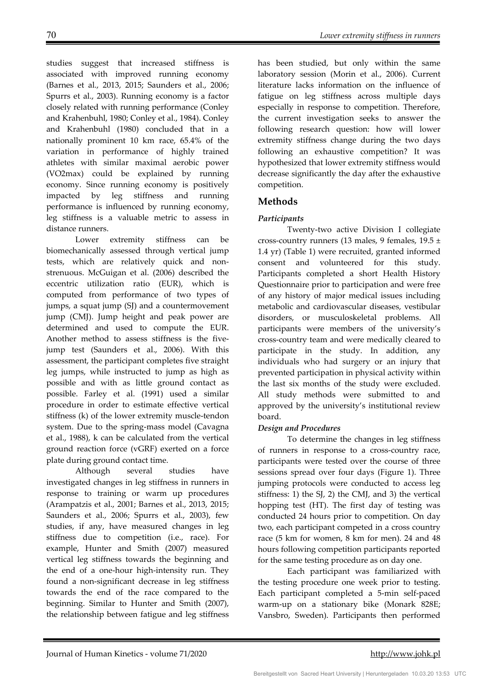studies suggest that increased stiffness is associated with improved running economy (Barnes et al., 2013, 2015; Saunders et al., 2006; Spurrs et al., 2003). Running economy is a factor closely related with running performance (Conley and Krahenbuhl, 1980; Conley et al., 1984). Conley and Krahenbuhl (1980) concluded that in a nationally prominent 10 km race, 65.4% of the variation in performance of highly trained athletes with similar maximal aerobic power (VO2max) could be explained by running economy. Since running economy is positively impacted by leg stiffness and running performance is influenced by running economy, leg stiffness is a valuable metric to assess in distance runners.

Lower extremity stiffness can be biomechanically assessed through vertical jump tests, which are relatively quick and nonstrenuous. McGuigan et al. (2006) described the eccentric utilization ratio (EUR), which is computed from performance of two types of jumps, a squat jump (SJ) and a countermovement jump (CMJ). Jump height and peak power are determined and used to compute the EUR. Another method to assess stiffness is the fivejump test (Saunders et al., 2006). With this assessment, the participant completes five straight leg jumps, while instructed to jump as high as possible and with as little ground contact as possible. Farley et al. (1991) used a similar procedure in order to estimate effective vertical stiffness (k) of the lower extremity muscle-tendon system. Due to the spring-mass model (Cavagna et al., 1988), k can be calculated from the vertical ground reaction force (vGRF) exerted on a force plate during ground contact time.

Although several studies have investigated changes in leg stiffness in runners in response to training or warm up procedures (Arampatzis et al., 2001; Barnes et al., 2013, 2015; Saunders et al., 2006; Spurrs et al., 2003), few studies, if any, have measured changes in leg stiffness due to competition (i.e., race). For example, Hunter and Smith (2007) measured vertical leg stiffness towards the beginning and the end of a one-hour high-intensity run. They found a non-significant decrease in leg stiffness towards the end of the race compared to the beginning. Similar to Hunter and Smith (2007), the relationship between fatigue and leg stiffness

has been studied, but only within the same laboratory session (Morin et al., 2006). Current literature lacks information on the influence of fatigue on leg stiffness across multiple days especially in response to competition. Therefore, the current investigation seeks to answer the following research question: how will lower extremity stiffness change during the two days following an exhaustive competition? It was hypothesized that lower extremity stiffness would decrease significantly the day after the exhaustive competition.

## **Methods**

## *Participants*

Twenty-two active Division I collegiate cross-country runners (13 males, 9 females,  $19.5 \pm$ 1.4 yr) (Table 1) were recruited, granted informed consent and volunteered for this study. Participants completed a short Health History Questionnaire prior to participation and were free of any history of major medical issues including metabolic and cardiovascular diseases, vestibular disorders, or musculoskeletal problems. All participants were members of the university's cross-country team and were medically cleared to participate in the study. In addition, any individuals who had surgery or an injury that prevented participation in physical activity within the last six months of the study were excluded. All study methods were submitted to and approved by the university's institutional review board.

## *Design and Procedures*

To determine the changes in leg stiffness of runners in response to a cross-country race, participants were tested over the course of three sessions spread over four days (Figure 1). Three jumping protocols were conducted to access leg stiffness: 1) the SJ, 2) the CMJ, and 3) the vertical hopping test (HT). The first day of testing was conducted 24 hours prior to competition. On day two, each participant competed in a cross country race (5 km for women, 8 km for men). 24 and 48 hours following competition participants reported for the same testing procedure as on day one.

Each participant was familiarized with the testing procedure one week prior to testing. Each participant completed a 5-min self-paced warm-up on a stationary bike (Monark 828E; Vansbro, Sweden). Participants then performed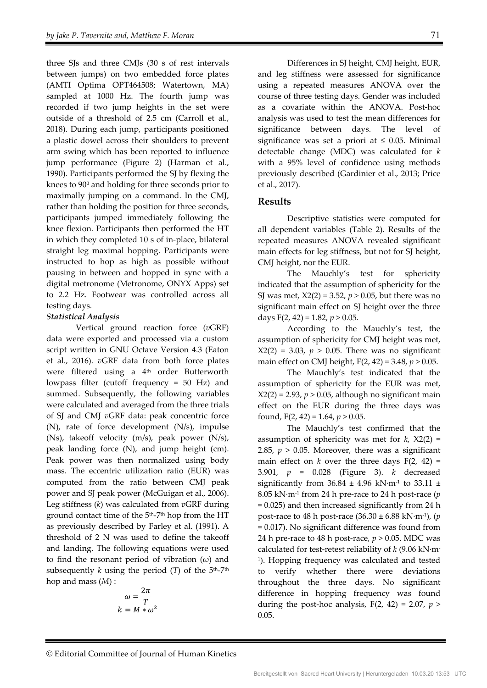three SJs and three CMJs (30 s of rest intervals between jumps) on two embedded force plates (AMTI Optima OPT464508; Watertown, MA) sampled at 1000 Hz. The fourth jump was recorded if two jump heights in the set were outside of a threshold of 2.5 cm (Carroll et al., 2018). During each jump, participants positioned a plastic dowel across their shoulders to prevent arm swing which has been reported to influence jump performance (Figure 2) (Harman et al., 1990). Participants performed the SJ by flexing the knees to 90<sup>°</sup> and holding for three seconds prior to maximally jumping on a command. In the CMJ, rather than holding the position for three seconds, participants jumped immediately following the knee flexion. Participants then performed the HT in which they completed 10 s of in-place, bilateral straight leg maximal hopping. Participants were instructed to hop as high as possible without pausing in between and hopped in sync with a digital metronome (Metronome, ONYX Apps) set to 2.2 Hz. Footwear was controlled across all testing days.

#### *Statistical Analysis*

Vertical ground reaction force (*v*GRF) data were exported and processed via a custom script written in GNU Octave Version 4.3 (Eaton et al., 2016). *v*GRF data from both force plates were filtered using a 4<sup>th</sup> order Butterworth lowpass filter (cutoff frequency = 50 Hz) and summed. Subsequently, the following variables were calculated and averaged from the three trials of SJ and CMJ *v*GRF data: peak concentric force (N), rate of force development (N/s), impulse (Ns), takeoff velocity (m/s), peak power (N/s), peak landing force (N), and jump height (cm). Peak power was then normalized using body mass. The eccentric utilization ratio (EUR) was computed from the ratio between CMJ peak power and SJ peak power (McGuigan et al., 2006). Leg stiffness (*k*) was calculated from *v*GRF during ground contact time of the  $5<sup>th</sup>-7<sup>th</sup>$  hop from the HT as previously described by Farley et al. (1991). A threshold of 2 N was used to define the takeoff and landing. The following equations were used to find the resonant period of vibration  $(\omega)$  and subsequently *k* using the period  $(T)$  of the  $5<sup>th</sup>-7<sup>th</sup>$ hop and mass (*M*) :

$$
\omega = \frac{2\pi}{T}
$$

$$
k = M * \omega^2
$$

Differences in SJ height, CMJ height, EUR, and leg stiffness were assessed for significance using a repeated measures ANOVA over the course of three testing days. Gender was included as a covariate within the ANOVA. Post-hoc analysis was used to test the mean differences for significance between days. The level of significance was set a priori at  $\leq$  0.05. Minimal detectable change (MDC) was calculated for *k*  with a 95% level of confidence using methods previously described (Gardinier et al., 2013; Price et al., 2017).

### **Results**

Descriptive statistics were computed for all dependent variables (Table 2). Results of the repeated measures ANOVA revealed significant main effects for leg stiffness, but not for SJ height, CMJ height, nor the EUR.

The Mauchly's test for sphericity indicated that the assumption of sphericity for the SJ was met, X2(2) = 3.52, *p* > 0.05, but there was no significant main effect on SJ height over the three days  $F(2, 42) = 1.82, p > 0.05$ .

According to the Mauchly's test, the assumption of sphericity for CMJ height was met,  $X2(2) = 3.03$ ,  $p > 0.05$ . There was no significant main effect on CMJ height, F(2, 42) = 3.48, *p* > 0.05.

The Mauchly's test indicated that the assumption of sphericity for the EUR was met,  $X2(2) = 2.93$ ,  $p > 0.05$ , although no significant main effect on the EUR during the three days was found, F(2, 42) = 1.64, *p* > 0.05.

 The Mauchly's test confirmed that the assumption of sphericity was met for *k*, X2(2) = 2.85,  $p > 0.05$ . Moreover, there was a significant main effect on  $k$  over the three days  $F(2, 42) =$ 3.901, *p* = 0.028 (Figure 3). *k* decreased significantly from  $36.84 \pm 4.96$  kN·m<sup>-1</sup> to  $33.11 \pm$ 8.05 kN·m-1 from 24 h pre-race to 24 h post-race (*p* = 0.025) and then increased significantly from 24 h post-race to 48 h post-race (36.30 ± 6.88 kN·m-1), (*p* = 0.017). No significant difference was found from 24 h pre-race to 48 h post-race, *p* > 0.05. MDC was calculated for test-retest reliability of *k* (9.06 kN·m-1). Hopping frequency was calculated and tested to verify whether there were deviations throughout the three days. No significant difference in hopping frequency was found during the post-hoc analysis,  $F(2, 42) = 2.07$ ,  $p >$ 0.05.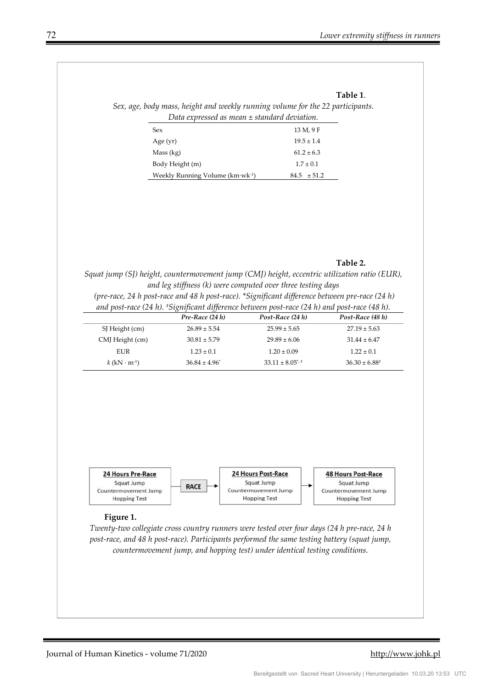#### **Table 1**.

*Sex, age, body mass, height and weekly running volume for the 22 participants. Data expressed as mean ± standard deviation.* 

| Sex                                  | 13 M, 9 F       |
|--------------------------------------|-----------------|
| Age $(yr)$                           | $19.5 \pm 1.4$  |
| Mass (kg)                            | $61.2 \pm 6.3$  |
| Body Height (m)                      | $1.7 \pm 0.1$   |
| Weekly Running Volume $(km·wk^{-1})$ | $84.5 \pm 51.2$ |

#### **Table 2.**

*Squat jump (SJ) height, countermovement jump (CMJ) height, eccentric utilization ratio (EUR), and leg stiffness (k) were computed over three testing days* 

 *(pre-race, 24 h post-race and 48 h post-race). \*Significant difference between pre-race (24 h) and post-race (24 h). #Significant difference between post-race (24 h) and post-race (48 h).* 

|                                   | Pre-Race $(24 h)$  | Post-Race $(24 h)$            | Post-Race (48 h) |  |
|-----------------------------------|--------------------|-------------------------------|------------------|--|
| SJ Height (cm)                    | $26.89 \pm 5.54$   | $25.99 \pm 5.65$              | $27.19 \pm 5.63$ |  |
| CMJ Height (cm)                   | $30.81 \pm 5.79$   | $29.89 \pm 6.06$              | $31.44 \pm 6.47$ |  |
| EUR                               | $1.23 \pm 0.1$     | $1.20 \pm 0.09$               | $1.22 \pm 0.1$   |  |
| $k$ (kN $\cdot$ m <sup>-1</sup> ) | $36.84 \pm 4.96^*$ | $33.11 \pm 8.05$ <sup>*</sup> | $36.30 \pm 6.88$ |  |
|                                   |                    |                               |                  |  |



#### **Figure 1.**

*Twenty-two collegiate cross country runners were tested over four days (24 h pre-race, 24 h post-race, and 48 h post-race). Participants performed the same testing battery (squat jump, countermovement jump, and hopping test) under identical testing conditions.*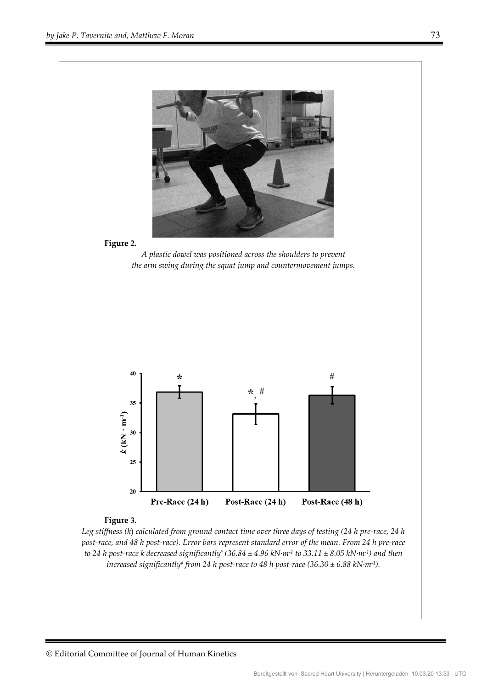

*Leg stiffness (k*) *calculated from ground contact time over three days of testing (24 h pre-race, 24 h post-race, and 48 h post-race). Error bars represent standard error of the mean. From 24 h pre-race to 24 h post-race k decreased significantly\* (36.84 ± 4.96 kN·m-1 to 33.11 ± 8.05 kN·m-1) and then increased significantly# from 24 h post-race to 48 h post-race (36.30 ± 6.88 kN·m-1).*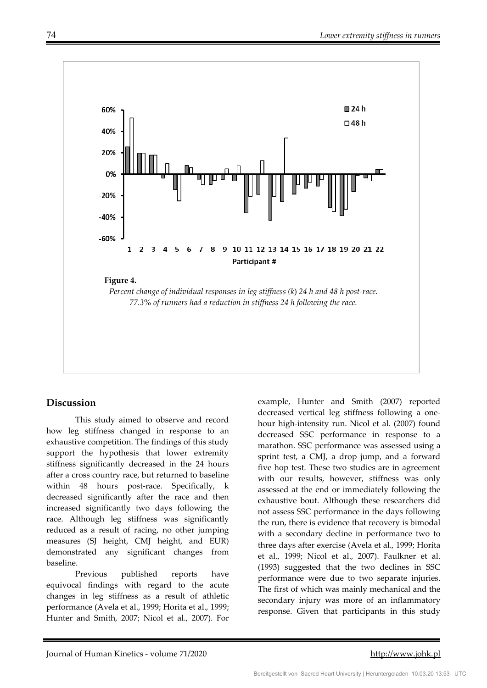

## **Discussion**

This study aimed to observe and record how leg stiffness changed in response to an exhaustive competition. The findings of this study support the hypothesis that lower extremity stiffness significantly decreased in the 24 hours after a cross country race, but returned to baseline within 48 hours post-race. Specifically, k decreased significantly after the race and then increased significantly two days following the race. Although leg stiffness was significantly reduced as a result of racing, no other jumping measures (SJ height, CMJ height, and EUR) demonstrated any significant changes from baseline.

Previous published reports have equivocal findings with regard to the acute changes in leg stiffness as a result of athletic performance (Avela et al., 1999; Horita et al., 1999; Hunter and Smith, 2007; Nicol et al., 2007). For example, Hunter and Smith (2007) reported decreased vertical leg stiffness following a onehour high-intensity run. Nicol et al. (2007) found decreased SSC performance in response to a marathon. SSC performance was assessed using a sprint test, a CMJ, a drop jump, and a forward five hop test. These two studies are in agreement with our results, however, stiffness was only assessed at the end or immediately following the exhaustive bout. Although these researchers did not assess SSC performance in the days following the run, there is evidence that recovery is bimodal with a secondary decline in performance two to three days after exercise (Avela et al., 1999; Horita et al., 1999; Nicol et al., 2007). Faulkner et al. (1993) suggested that the two declines in SSC performance were due to two separate injuries. The first of which was mainly mechanical and the secondary injury was more of an inflammatory response. Given that participants in this study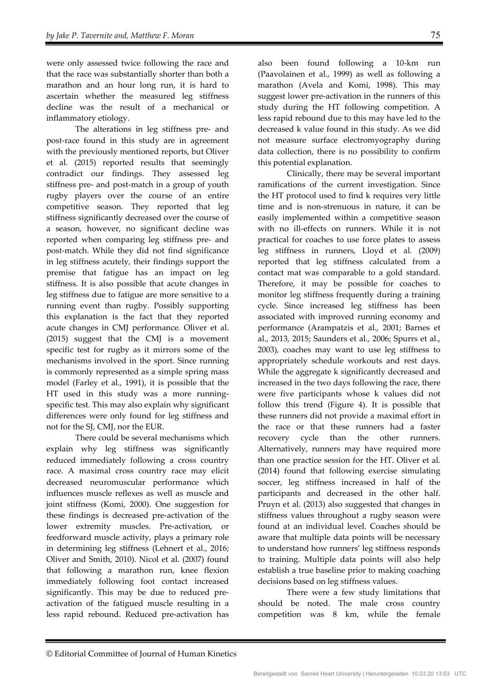were only assessed twice following the race and that the race was substantially shorter than both a marathon and an hour long run, it is hard to ascertain whether the measured leg stiffness decline was the result of a mechanical or inflammatory etiology.

The alterations in leg stiffness pre- and post-race found in this study are in agreement with the previously mentioned reports, but Oliver et al. (2015) reported results that seemingly contradict our findings. They assessed leg stiffness pre- and post-match in a group of youth rugby players over the course of an entire competitive season. They reported that leg stiffness significantly decreased over the course of a season, however, no significant decline was reported when comparing leg stiffness pre- and post-match. While they did not find significance in leg stiffness acutely, their findings support the premise that fatigue has an impact on leg stiffness. It is also possible that acute changes in leg stiffness due to fatigue are more sensitive to a running event than rugby. Possibly supporting this explanation is the fact that they reported acute changes in CMJ performance. Oliver et al. (2015) suggest that the CMJ is a movement specific test for rugby as it mirrors some of the mechanisms involved in the sport. Since running is commonly represented as a simple spring mass model (Farley et al., 1991), it is possible that the HT used in this study was a more runningspecific test. This may also explain why significant differences were only found for leg stiffness and not for the SJ, CMJ, nor the EUR.

There could be several mechanisms which explain why leg stiffness was significantly reduced immediately following a cross country race. A maximal cross country race may elicit decreased neuromuscular performance which influences muscle reflexes as well as muscle and joint stiffness (Komi, 2000). One suggestion for these findings is decreased pre-activation of the lower extremity muscles. Pre-activation, or feedforward muscle activity, plays a primary role in determining leg stiffness (Lehnert et al., 2016; Oliver and Smith, 2010). Nicol et al. (2007) found that following a marathon run, knee flexion immediately following foot contact increased significantly. This may be due to reduced preactivation of the fatigued muscle resulting in a less rapid rebound. Reduced pre-activation has

also been found following a 10-km run (Paavolainen et al., 1999) as well as following a marathon (Avela and Komi, 1998). This may suggest lower pre-activation in the runners of this study during the HT following competition. A less rapid rebound due to this may have led to the decreased k value found in this study. As we did not measure surface electromyography during data collection, there is no possibility to confirm this potential explanation.

Clinically, there may be several important ramifications of the current investigation. Since the HT protocol used to find k requires very little time and is non-strenuous in nature, it can be easily implemented within a competitive season with no ill-effects on runners. While it is not practical for coaches to use force plates to assess leg stiffness in runners, Lloyd et al. (2009) reported that leg stiffness calculated from a contact mat was comparable to a gold standard. Therefore, it may be possible for coaches to monitor leg stiffness frequently during a training cycle. Since increased leg stiffness has been associated with improved running economy and performance (Arampatzis et al., 2001; Barnes et al., 2013, 2015; Saunders et al., 2006; Spurrs et al., 2003), coaches may want to use leg stiffness to appropriately schedule workouts and rest days. While the aggregate k significantly decreased and increased in the two days following the race, there were five participants whose k values did not follow this trend (Figure 4). It is possible that these runners did not provide a maximal effort in the race or that these runners had a faster recovery cycle than the other runners. Alternatively, runners may have required more than one practice session for the HT. Oliver et al. (2014) found that following exercise simulating soccer, leg stiffness increased in half of the participants and decreased in the other half. Pruyn et al. (2013) also suggested that changes in stiffness values throughout a rugby season were found at an individual level. Coaches should be aware that multiple data points will be necessary to understand how runners' leg stiffness responds to training. Multiple data points will also help establish a true baseline prior to making coaching decisions based on leg stiffness values.

There were a few study limitations that should be noted. The male cross country competition was 8 km, while the female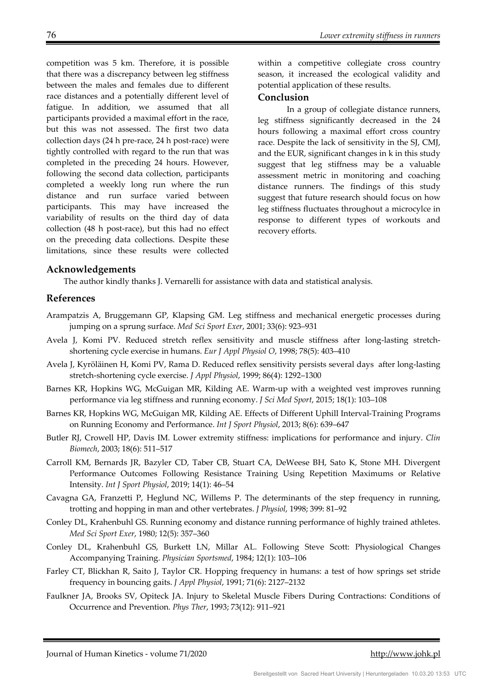competition was 5 km. Therefore, it is possible that there was a discrepancy between leg stiffness between the males and females due to different race distances and a potentially different level of fatigue. In addition, we assumed that all participants provided a maximal effort in the race, but this was not assessed. The first two data collection days (24 h pre-race, 24 h post-race) were tightly controlled with regard to the run that was completed in the preceding 24 hours. However, following the second data collection, participants completed a weekly long run where the run distance and run surface varied between participants. This may have increased the variability of results on the third day of data collection (48 h post-race), but this had no effect on the preceding data collections. Despite these limitations, since these results were collected

within a competitive collegiate cross country season, it increased the ecological validity and potential application of these results.

### **Conclusion**

In a group of collegiate distance runners, leg stiffness significantly decreased in the 24 hours following a maximal effort cross country race. Despite the lack of sensitivity in the SJ, CMJ, and the EUR, significant changes in k in this study suggest that leg stiffness may be a valuable assessment metric in monitoring and coaching distance runners. The findings of this study suggest that future research should focus on how leg stiffness fluctuates throughout a microcylce in response to different types of workouts and recovery efforts.

### **Acknowledgements**

The author kindly thanks J. Vernarelli for assistance with data and statistical analysis.

## **References**

- Arampatzis A, Bruggemann GP, Klapsing GM. Leg stiffness and mechanical energetic processes during jumping on a sprung surface. *Med Sci Sport Exer*, 2001; 33(6): 923–931
- Avela J, Komi PV. Reduced stretch reflex sensitivity and muscle stiffness after long-lasting stretchshortening cycle exercise in humans. *Eur J Appl Physiol O*, 1998; 78(5): 403–410
- Avela J, Kyröläinen H, Komi PV, Rama D. Reduced reflex sensitivity persists several days after long-lasting stretch-shortening cycle exercise. *J Appl Physiol*, 1999; 86(4): 1292–1300
- Barnes KR, Hopkins WG, McGuigan MR, Kilding AE. Warm-up with a weighted vest improves running performance via leg stiffness and running economy. *J Sci Med Sport*, 2015; 18(1): 103–108
- Barnes KR, Hopkins WG, McGuigan MR, Kilding AE. Effects of Different Uphill Interval-Training Programs on Running Economy and Performance. *Int J Sport Physiol*, 2013; 8(6): 639–647
- Butler RJ, Crowell HP, Davis IM. Lower extremity stiffness: implications for performance and injury. *Clin Biomech*, 2003; 18(6): 511–517
- Carroll KM, Bernards JR, Bazyler CD, Taber CB, Stuart CA, DeWeese BH, Sato K, Stone MH. Divergent Performance Outcomes Following Resistance Training Using Repetition Maximums or Relative Intensity. *Int J Sport Physiol*, 2019; 14(1): 46–54
- Cavagna GA, Franzetti P, Heglund NC, Willems P. The determinants of the step frequency in running, trotting and hopping in man and other vertebrates. *J Physiol*, 1998; 399: 81–92
- Conley DL, Krahenbuhl GS. Running economy and distance running performance of highly trained athletes. *Med Sci Sport Exer*, 1980; 12(5): 357–360
- Conley DL, Krahenbuhl GS, Burkett LN, Millar AL. Following Steve Scott: Physiological Changes Accompanying Training. *Physician Sportsmed*, 1984; 12(1): 103–106
- Farley CT, Blickhan R, Saito J, Taylor CR. Hopping frequency in humans: a test of how springs set stride frequency in bouncing gaits. *J Appl Physiol*, 1991; 71(6): 2127–2132
- Faulkner JA, Brooks SV, Opiteck JA. Injury to Skeletal Muscle Fibers During Contractions: Conditions of Occurrence and Prevention. *Phys Ther*, 1993; 73(12): 911–921